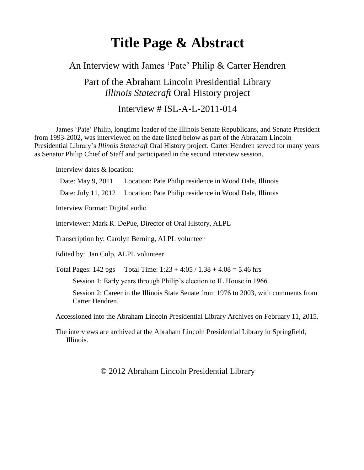# **Title Page & Abstract**

### An Interview with James 'Pate' Philip & Carter Hendren

Part of the Abraham Lincoln Presidential Library *Illinois Statecraft* Oral History project

### Interview # ISL-A-L-2011-014

James 'Pate' Philip, longtime leader of the Illinois Senate Republicans, and Senate President from 1993-2002, was interviewed on the date listed below as part of the Abraham Lincoln Presidential Library's *Illinois Statecraft* Oral History project. Carter Hendren served for many years as Senator Philip Chief of Staff and participated in the second interview session.

Interview dates & location:

Date: May 9, 2011 Location: Pate Philip residence in Wood Dale, Illinois Date: July 11, 2012 Location: Pate Philip residence in Wood Dale, Illinois Interview Format: Digital audio Interviewer: Mark R. DePue, Director of Oral History, ALPL Transcription by: Carolyn Berning, ALPL volunteer Edited by: Jan Culp, ALPL volunteer Total Pages:  $142 \text{ pgs}$  Total Time:  $1:23 + 4:05 / 1.38 + 4.08 = 5.46 \text{ hrs}$ Session 1: Early years through Philip's election to IL House in 1966. Session 2: Career in the Illinois State Senate from 1976 to 2003, with comments from Carter Hendren. Accessioned into the Abraham Lincoln Presidential Library Archives on February 11, 2015. The interviews are archived at the Abraham Lincoln Presidential Library in Springfield, Illinois.

© 2012 Abraham Lincoln Presidential Library